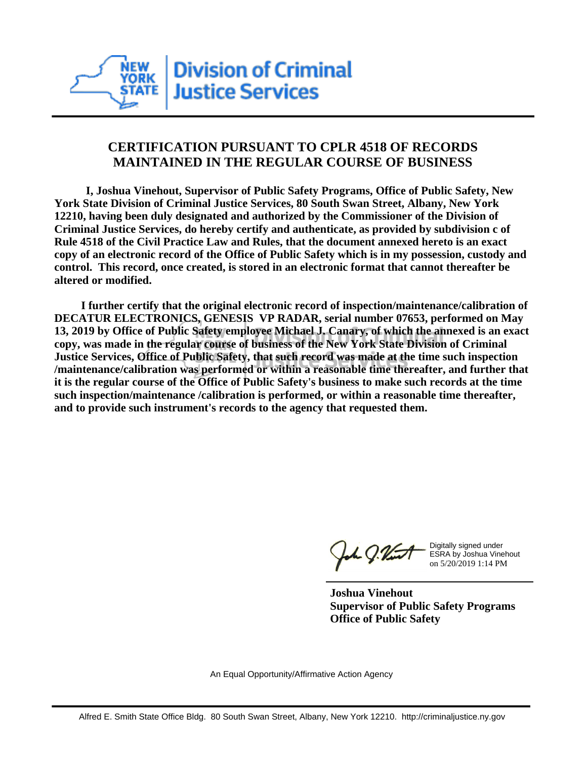

## **CERTIFICATION PURSUANT TO CPLR 4518 OF RECORDS MAINTAINED IN THE REGULAR COURSE OF BUSINESS**

 **I, Joshua Vinehout, Supervisor of Public Safety Programs, Office of Public Safety, New York State Division of Criminal Justice Services, 80 South Swan Street, Albany, New York 12210, having been duly designated and authorized by the Commissioner of the Division of Criminal Justice Services, do hereby certify and authenticate, as provided by subdivision c of Rule 4518 of the Civil Practice Law and Rules, that the document annexed hereto is an exact copy of an electronic record of the Office of Public Safety which is in my possession, custody and control. This record, once created, is stored in an electronic format that cannot thereafter be altered or modified.**

 **I further certify that the original electronic record of inspection/maintenance/calibration of DECATUR ELECTRONICS, GENESIS VP RADAR, serial number 07653, performed on May 13, 2019 by Office of Public Safety employee Michael J. Canary, of which the annexed is an exact copy, was made in the regular course of business of the New York State Division of Criminal Justice Services, Office of Public Safety, that such record was made at the time such inspection /maintenance/calibration was performed or within a reasonable time thereafter, and further that it is the regular course of the Office of Public Safety's business to make such records at the time such inspection/maintenance /calibration is performed, or within a reasonable time thereafter, and to provide such instrument's records to the agency that requested them.**

the J. Vint

Digitally signed under ESRA by Joshua Vinehout on 5/20/2019 1:14 PM

**Joshua Vinehout Supervisor of Public Safety Programs Office of Public Safety**

An Equal Opportunity/Affirmative Action Agency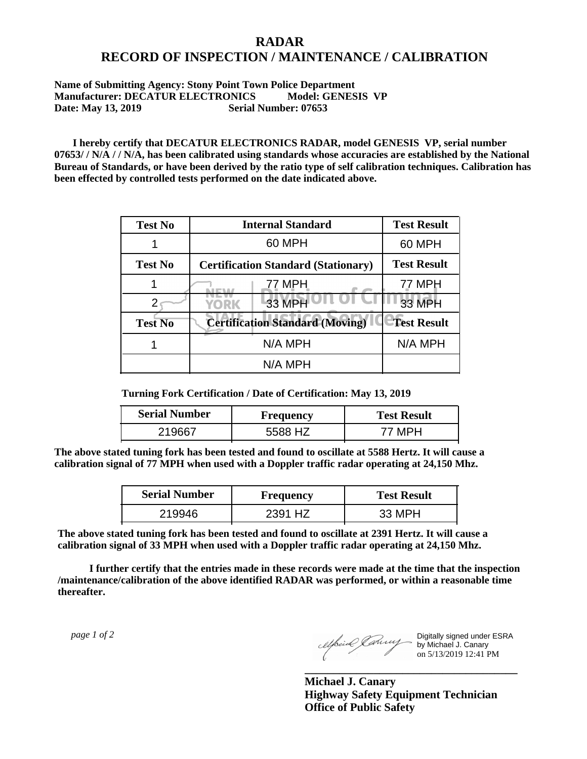## **RADAR RECORD OF INSPECTION / MAINTENANCE / CALIBRATION**

## **Name of Submitting Agency: Stony Point Town Police Department Manufacturer: DECATUR ELECTRONICS Model: GENESIS VP Date: May 13, 2019 Serial Number: 07653**

 **I hereby certify that DECATUR ELECTRONICS RADAR, model GENESIS VP, serial number 07653/ / N/A / / N/A, has been calibrated using standards whose accuracies are established by the National Bureau of Standards, or have been derived by the ratio type of self calibration techniques. Calibration has been effected by controlled tests performed on the date indicated above.**

| <b>Test No</b> | <b>Internal Standard</b>                   | <b>Test Result</b> |
|----------------|--------------------------------------------|--------------------|
|                | 60 MPH                                     | 60 MPH             |
| <b>Test No</b> | <b>Certification Standard (Stationary)</b> | <b>Test Result</b> |
|                | 77 MPH                                     | 77 MPH             |
|                | 33 MPH<br><b>YORK</b>                      | <b>33 MPH</b>      |
| <b>Test No</b> | <b>Certification Standard (Moving)</b>     | <b>Test Result</b> |
|                | N/A MPH                                    | N/A MPH            |
|                | N/A MPH                                    |                    |

**Turning Fork Certification / Date of Certification: May 13, 2019**

| <b>Serial Number</b> | Frequency | <b>Test Result</b> |
|----------------------|-----------|--------------------|
|                      | 87        |                    |

**The above stated tuning fork has been tested and found to oscillate at 5588 Hertz. It will cause a calibration signal of 77 MPH when used with a Doppler traffic radar operating at 24,150 Mhz.**

| <b>Serial Number</b> | Frequency | <b>Test Result</b> |
|----------------------|-----------|--------------------|
| 219946               | 2391 HZ   | 33 MPH             |

**The above stated tuning fork has been tested and found to oscillate at 2391 Hertz. It will cause a calibration signal of 33 MPH when used with a Doppler traffic radar operating at 24,150 Mhz.**

 **I further certify that the entries made in these records were made at the time that the inspection /maintenance/calibration of the above identified RADAR was performed, or within a reasonable time thereafter.**

 *page 1 of 2* 

Digitally signed under ESRA by Michael J. Canary on 5/13/2019 12:41 PM

**Michael J. Canary Highway Safety Equipment Technician Office of Public Safety**

**\_\_\_\_\_\_\_\_\_\_\_\_\_\_\_\_\_\_\_\_\_\_\_\_\_\_\_\_\_\_\_\_\_\_\_\_\_**